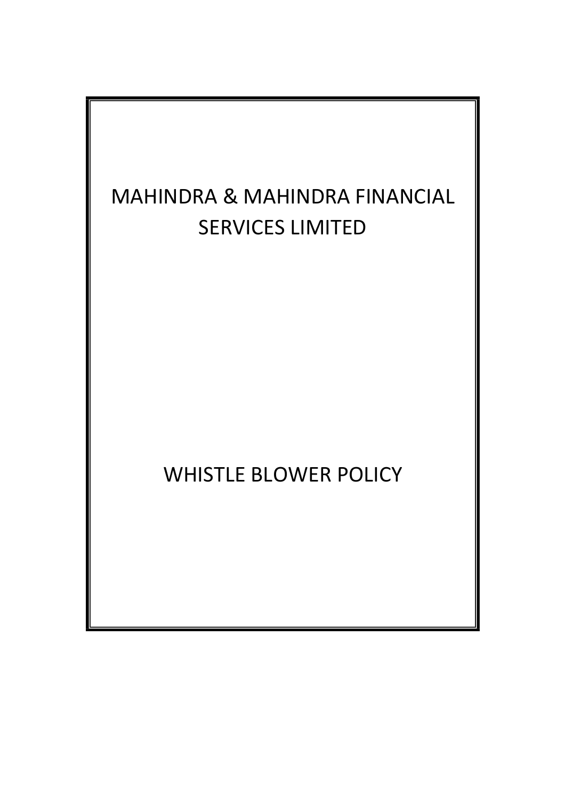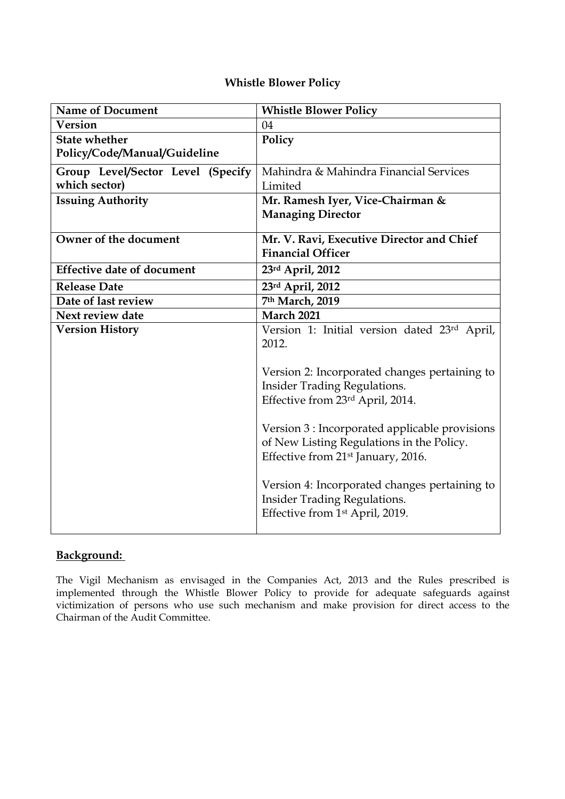# **Whistle Blower Policy**

| <b>Name of Document</b>           | <b>Whistle Blower Policy</b>                   |
|-----------------------------------|------------------------------------------------|
| <b>Version</b>                    | 04                                             |
| <b>State whether</b>              | Policy                                         |
| Policy/Code/Manual/Guideline      |                                                |
| Group Level/Sector Level (Specify | Mahindra & Mahindra Financial Services         |
| which sector)                     | Limited                                        |
| <b>Issuing Authority</b>          | Mr. Ramesh Iyer, Vice-Chairman &               |
|                                   | <b>Managing Director</b>                       |
| Owner of the document             | Mr. V. Ravi, Executive Director and Chief      |
|                                   | <b>Financial Officer</b>                       |
| <b>Effective date of document</b> | 23rd April, 2012                               |
| <b>Release Date</b>               | 23rd April, 2012                               |
| Date of last review               | 7th March, 2019                                |
| Next review date                  | <b>March 2021</b>                              |
| <b>Version History</b>            | Version 1: Initial version dated 23rd April,   |
|                                   | 2012.                                          |
|                                   |                                                |
|                                   | Version 2: Incorporated changes pertaining to  |
|                                   | <b>Insider Trading Regulations.</b>            |
|                                   | Effective from 23rd April, 2014.               |
|                                   | Version 3 : Incorporated applicable provisions |
|                                   | of New Listing Regulations in the Policy.      |
|                                   | Effective from 21 <sup>st</sup> January, 2016. |
|                                   |                                                |
|                                   | Version 4: Incorporated changes pertaining to  |
|                                   | <b>Insider Trading Regulations.</b>            |
|                                   | Effective from 1st April, 2019.                |
|                                   |                                                |

# **Background:**

The Vigil Mechanism as envisaged in the Companies Act, 2013 and the Rules prescribed is implemented through the Whistle Blower Policy to provide for adequate safeguards against victimization of persons who use such mechanism and make provision for direct access to the Chairman of the Audit Committee.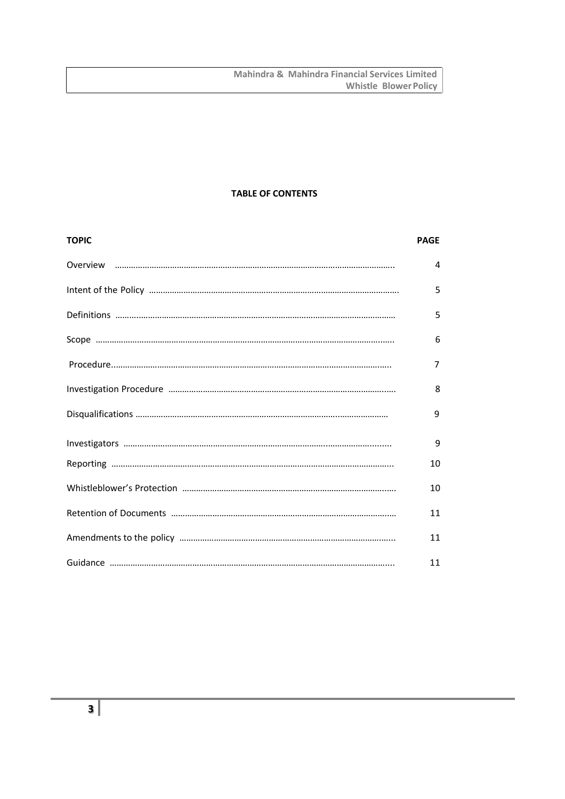## **TABLE OF CONTENTS**

| <b>TOPIC</b> | <b>PAGE</b> |
|--------------|-------------|
|              | 4           |
|              | 5           |
|              | 5           |
|              | 6           |
|              | 7           |
|              | 8           |
|              | 9           |
|              | 9           |
|              | 10          |
|              | 10          |
|              | 11          |
|              | 11          |
|              | 11          |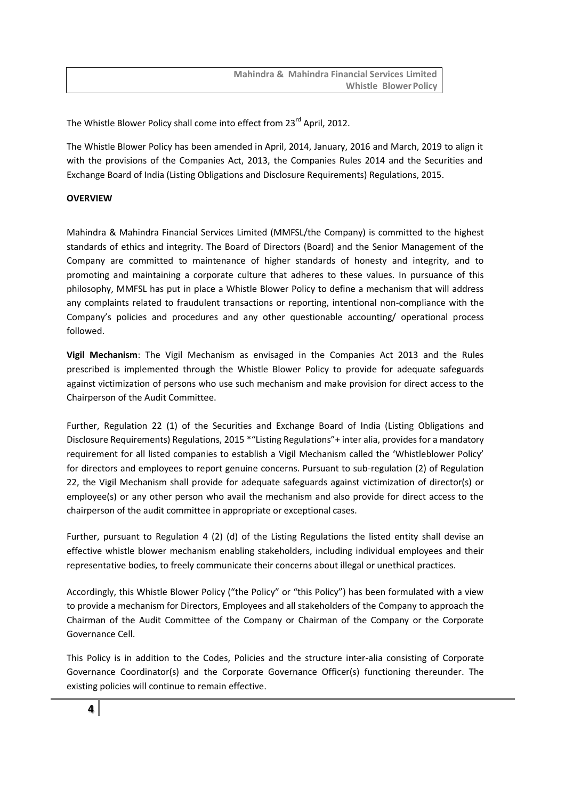The Whistle Blower Policy shall come into effect from 23<sup>rd</sup> April, 2012.

The Whistle Blower Policy has been amended in April, 2014, January, 2016 and March, 2019 to align it with the provisions of the Companies Act, 2013, the Companies Rules 2014 and the Securities and Exchange Board of India (Listing Obligations and Disclosure Requirements) Regulations, 2015.

## <span id="page-3-0"></span>**OVERVIEW**

Mahindra & Mahindra Financial Services Limited (MMFSL/the Company) is committed to the highest standards of ethics and integrity. The Board of Directors (Board) and the Senior Management of the Company are committed to maintenance of higher standards of honesty and integrity, and to promoting and maintaining a corporate culture that adheres to these values. In pursuance of this philosophy, MMFSL has put in place a Whistle Blower Policy to define a mechanism that will address any complaints related to fraudulent transactions or reporting, intentional non-compliance with the Company's policies and procedures and any other questionable accounting/ operational process followed.

**Vigil Mechanism**: The Vigil Mechanism as envisaged in the Companies Act 2013 and the Rules prescribed is implemented through the Whistle Blower Policy to provide for adequate safeguards against victimization of persons who use such mechanism and make provision for direct access to the Chairperson of the Audit Committee.

Further, Regulation 22 (1) of the Securities and Exchange Board of India (Listing Obligations and Disclosure Requirements) Regulations, 2015 \*"Listing Regulations"+ inter alia, provides for a mandatory requirement for all listed companies to establish a Vigil Mechanism called the 'Whistleblower Policy' for directors and employees to report genuine concerns. Pursuant to sub-regulation (2) of Regulation 22, the Vigil Mechanism shall provide for adequate safeguards against victimization of director(s) or employee(s) or any other person who avail the mechanism and also provide for direct access to the chairperson of the audit committee in appropriate or exceptional cases.

Further, pursuant to Regulation 4 (2) (d) of the Listing Regulations the listed entity shall devise an effective whistle blower mechanism enabling stakeholders, including individual employees and their representative bodies, to freely communicate their concerns about illegal or unethical practices.

Accordingly, this Whistle Blower Policy ("the Policy" or "this Policy") has been formulated with a view to provide a mechanism for Directors, Employees and all stakeholders of the Company to approach the Chairman of the Audit Committee of the Company or Chairman of the Company or the Corporate Governance Cell.

This Policy is in addition to the Codes, Policies and the structure inter-alia consisting of Corporate Governance Coordinator(s) and the Corporate Governance Officer(s) functioning thereunder. The existing policies will continue to remain effective.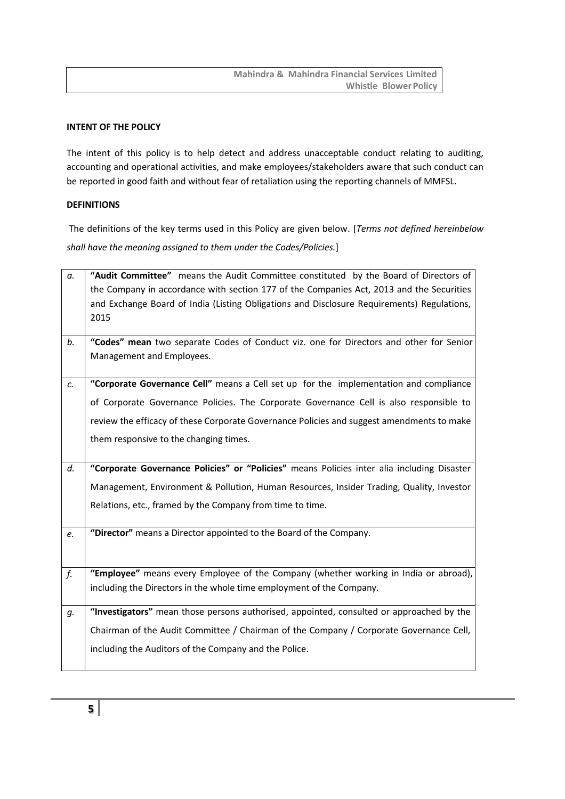#### **INTENT OF THE POLICY**

The intent of this policy is to help detect and address unacceptable conduct relating to auditing, accounting and operational activities, and make employees/stakeholders aware that such conduct can be reported in good faith and without fear of retaliation using the reporting channels of MMFSL.

# <span id="page-4-0"></span>**DEFINITIONS**

The definitions of the key terms used in this Policy are given below. [*Terms not defined hereinbelow shall have the meaning assigned to them under the Codes/Policies.*]

| а. | "Audit Committee" means the Audit Committee constituted by the Board of Directors of       |
|----|--------------------------------------------------------------------------------------------|
|    | the Company in accordance with section 177 of the Companies Act, 2013 and the Securities   |
|    | and Exchange Board of India (Listing Obligations and Disclosure Requirements) Regulations, |
|    | 2015                                                                                       |
|    |                                                                                            |
| b. | "Codes" mean two separate Codes of Conduct viz. one for Directors and other for Senior     |
|    | Management and Employees.                                                                  |
|    |                                                                                            |
| c. | "Corporate Governance Cell" means a Cell set up for the implementation and compliance      |
|    | of Corporate Governance Policies. The Corporate Governance Cell is also responsible to     |
|    | review the efficacy of these Corporate Governance Policies and suggest amendments to make  |
|    | them responsive to the changing times.                                                     |
|    |                                                                                            |
| d. | "Corporate Governance Policies" or "Policies" means Policies inter alia including Disaster |
|    | Management, Environment & Pollution, Human Resources, Insider Trading, Quality, Investor   |
|    | Relations, etc., framed by the Company from time to time.                                  |
|    |                                                                                            |
| e. | "Director" means a Director appointed to the Board of the Company.                         |
|    |                                                                                            |
|    |                                                                                            |
| f. | "Employee" means every Employee of the Company (whether working in India or abroad),       |
|    | including the Directors in the whole time employment of the Company.                       |
|    |                                                                                            |
| g. | "Investigators" mean those persons authorised, appointed, consulted or approached by the   |
|    | Chairman of the Audit Committee / Chairman of the Company / Corporate Governance Cell,     |
|    | including the Auditors of the Company and the Police.                                      |
|    |                                                                                            |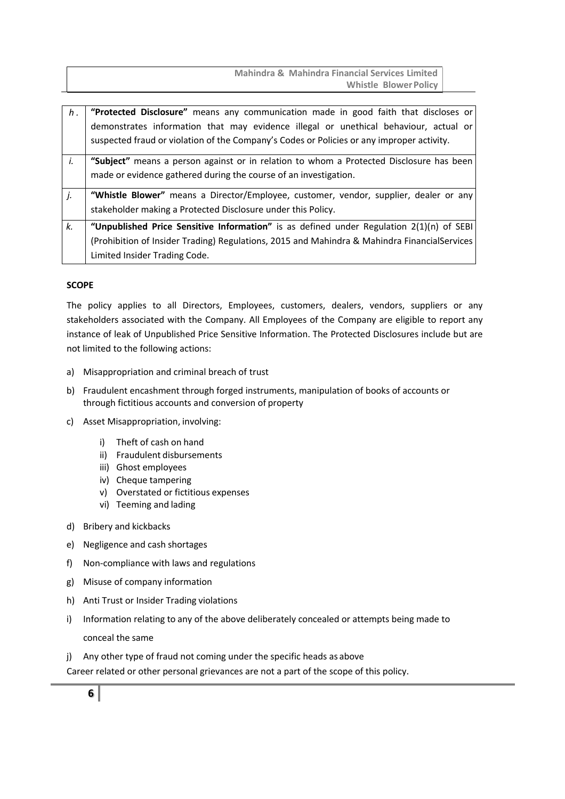**Mahindra & Mahindra Financial Services Limited Whistle Blower Policy** 

<span id="page-5-0"></span>

| h <sub>1</sub> | "Protected Disclosure" means any communication made in good faith that discloses or          |
|----------------|----------------------------------------------------------------------------------------------|
|                | demonstrates information that may evidence illegal or unethical behaviour, actual or         |
|                | suspected fraud or violation of the Company's Codes or Policies or any improper activity.    |
| i.             | "Subject" means a person against or in relation to whom a Protected Disclosure has been      |
|                | made or evidence gathered during the course of an investigation.                             |
| j.             | "Whistle Blower" means a Director/Employee, customer, vendor, supplier, dealer or any        |
|                | stakeholder making a Protected Disclosure under this Policy.                                 |
| k.             | "Unpublished Price Sensitive Information" is as defined under Regulation $2(1)(n)$ of SEBI   |
|                | (Prohibition of Insider Trading) Regulations, 2015 and Mahindra & Mahindra FinancialServices |
|                | Limited Insider Trading Code.                                                                |

#### <span id="page-5-1"></span>**SCOPE**

The policy applies to all Directors, Employees, customers, dealers, vendors, suppliers or any stakeholders associated with the Company. All Employees of the Company are eligible to report any instance of leak of Unpublished Price Sensitive Information. The Protected Disclosures include but are not limited to the following actions:

- a) Misappropriation and criminal breach of trust
- b) Fraudulent encashment through forged instruments, manipulation of books of accounts or through fictitious accounts and conversion of property
- c) Asset Misappropriation, involving:
	- i) Theft of cash on hand
	- ii) Fraudulent disbursements
	- iii) Ghost employees
	- iv) Cheque tampering
	- v) Overstated or fictitious expenses
	- vi) Teeming and lading
- d) Bribery and kickbacks
- e) Negligence and cash shortages
- f) Non-compliance with laws and regulations
- g) Misuse of company information
- h) Anti Trust or Insider Trading violations
- i) Information relating to any of the above deliberately concealed or attempts being made to conceal the same
- j) Any other type of fraud not coming under the specific heads as above

Career related or other personal grievances are not a part of the scope of this policy.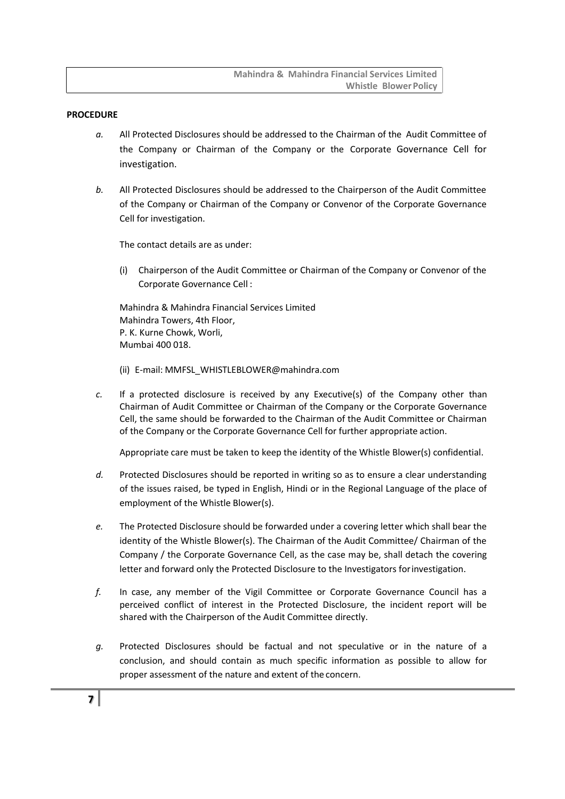**Mahindra & Mahindra Financial Services Limited Whistle Blower Policy** 

#### <span id="page-6-0"></span>**PROCEDURE**

- *a.* All Protected Disclosures should be addressed to the Chairman of the Audit Committee of the Company or Chairman of the Company or the Corporate Governance Cell for investigation.
- *b.* All Protected Disclosures should be addressed to the Chairperson of the Audit Committee of the Company or Chairman of the Company or Convenor of the Corporate Governance Cell for investigation.

The contact details are as under:

(i) Chairperson of the Audit Committee or Chairman of the Company or Convenor of the Corporate Governance Cell :

Mahindra & Mahindra Financial Services Limited Mahindra Towers, 4th Floor, P. K. Kurne Chowk, Worli, Mumbai 400 018.

- (ii) E-mail: [MMFSL\\_WHISTLEBLOWER@mahindra.com](mailto:MMFSL_WHISTLEBLOWER@mahindra.com)
- *c.* If a protected disclosure is received by any Executive(s) of the Company other than Chairman of Audit Committee or Chairman of the Company or the Corporate Governance Cell, the same should be forwarded to the Chairman of the Audit Committee or Chairman of the Company or the Corporate Governance Cell for further appropriate action.

Appropriate care must be taken to keep the identity of the Whistle Blower(s) confidential.

- *d.* Protected Disclosures should be reported in writing so as to ensure a clear understanding of the issues raised, be typed in English, Hindi or in the Regional Language of the place of employment of the Whistle Blower(s).
- *e.* The Protected Disclosure should be forwarded under a covering letter which shall bear the identity of the Whistle Blower(s). The Chairman of the Audit Committee/ Chairman of the Company / the Corporate Governance Cell, as the case may be, shall detach the covering letter and forward only the Protected Disclosure to the Investigators forinvestigation.
- *f.* In case, any member of the Vigil Committee or Corporate Governance Council has a perceived conflict of interest in the Protected Disclosure, the incident report will be shared with the Chairperson of the Audit Committee directly.
- *g.* Protected Disclosures should be factual and not speculative or in the nature of a conclusion, and should contain as much specific information as possible to allow for proper assessment of the nature and extent of the concern.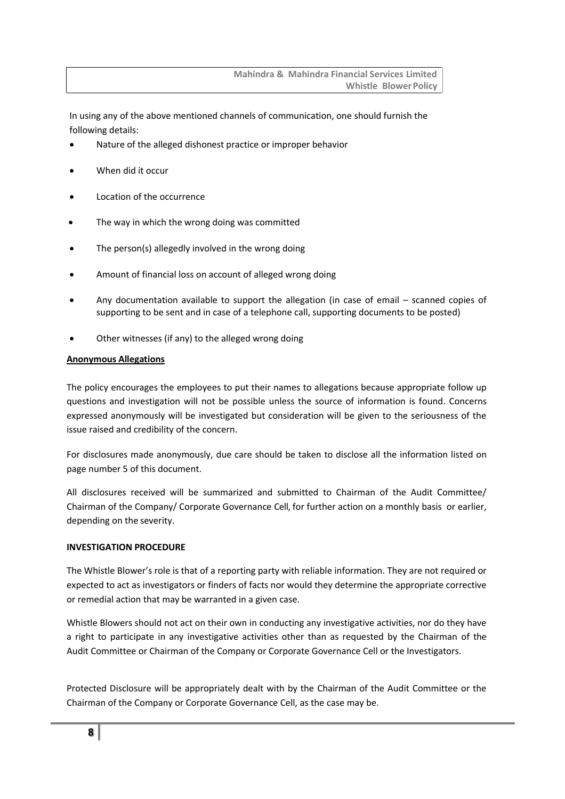In using any of the above mentioned channels of communication, one should furnish the following details:

- Nature of the alleged dishonest practice or improper behavior
- When did it occur
- Location of the occurrence
- The way in which the wrong doing was committed
- The person(s) allegedly involved in the wrong doing
- Amount of financial loss on account of alleged wrong doing
- Any documentation available to support the allegation (in case of email scanned copies of supporting to be sent and in case of a telephone call, supporting documents to be posted)
- Other witnesses (if any) to the alleged wrong doing

#### **Anonymous Allegations**

The policy encourages the employees to put their names to allegations because appropriate follow up questions and investigation will not be possible unless the source of information is found. Concerns expressed anonymously will be investigated but consideration will be given to the seriousness of the issue raised and credibility of the concern.

For disclosures made anonymously, due care should be taken to disclose all the information listed on page number 5 of this document.

All disclosures received will be summarized and submitted to Chairman of the Audit Committee/ Chairman of the Company/ Corporate Governance Cell, for further action on a monthly basis or earlier, depending on the severity.

#### <span id="page-7-0"></span>**INVESTIGATION PROCEDURE**

The Whistle Blower's role is that of a reporting party with reliable information. They are not required or expected to act as investigators or finders of facts nor would they determine the appropriate corrective or remedial action that may be warranted in a given case.

Whistle Blowers should not act on their own in conducting any investigative activities, nor do they have a right to participate in any investigative activities other than as requested by the Chairman of the Audit Committee or Chairman of the Company or Corporate Governance Cell or the Investigators.

Protected Disclosure will be appropriately dealt with by the Chairman of the Audit Committee or the Chairman of the Company or Corporate Governance Cell, as the case may be.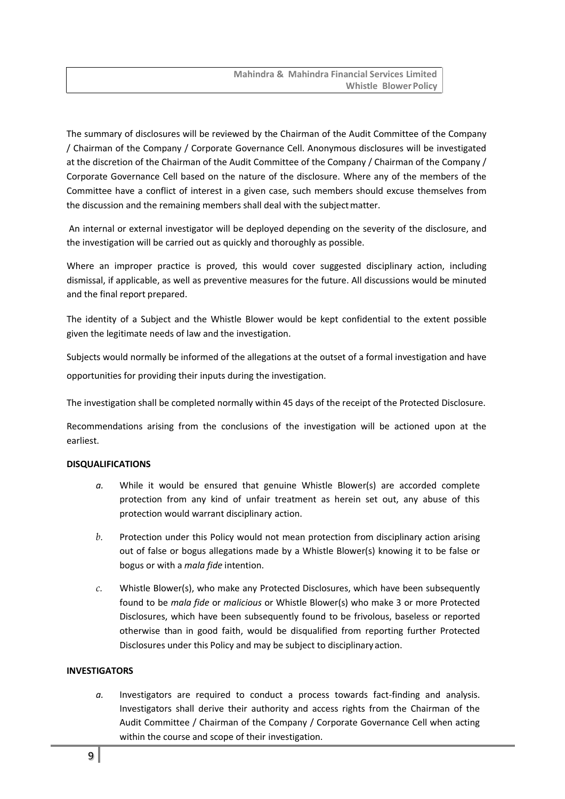The summary of disclosures will be reviewed by the Chairman of the Audit Committee of the Company / Chairman of the Company / Corporate Governance Cell. Anonymous disclosures will be investigated at the discretion of the Chairman of the Audit Committee of the Company / Chairman of the Company / Corporate Governance Cell based on the nature of the disclosure. Where any of the members of the Committee have a conflict of interest in a given case, such members should excuse themselves from the discussion and the remaining members shall deal with the subject matter.

An internal or external investigator will be deployed depending on the severity of the disclosure, and the investigation will be carried out as quickly and thoroughly as possible.

Where an improper practice is proved, this would cover suggested disciplinary action, including dismissal, if applicable, as well as preventive measures for the future. All discussions would be minuted and the final report prepared.

The identity of a Subject and the Whistle Blower would be kept confidential to the extent possible given the legitimate needs of law and the investigation.

Subjects would normally be informed of the allegations at the outset of a formal investigation and have opportunities for providing their inputs during the investigation.

The investigation shall be completed normally within 45 days of the receipt of the Protected Disclosure.

Recommendations arising from the conclusions of the investigation will be actioned upon at the earliest.

#### <span id="page-8-0"></span>**DISQUALIFICATIONS**

- *a.* While it would be ensured that genuine Whistle Blower(s) are accorded complete protection from any kind of unfair treatment as herein set out, any abuse of this protection would warrant disciplinary action.
- *b.* Protection under this Policy would not mean protection from disciplinary action arising out of false or bogus allegations made by a Whistle Blower(s) knowing it to be false or bogus or with a *mala fide* intention.
- *c.* Whistle Blower(s), who make any Protected Disclosures, which have been subsequently found to be *mala fide* or *malicious* or Whistle Blower(s) who make 3 or more Protected Disclosures, which have been subsequently found to be frivolous, baseless or reported otherwise than in good faith, would be disqualified from reporting further Protected Disclosures under this Policy and may be subject to disciplinary action.

#### <span id="page-8-1"></span>**INVESTIGATORS**

*a.* Investigators are required to conduct a process towards fact-finding and analysis. Investigators shall derive their authority and access rights from the Chairman of the Audit Committee / Chairman of the Company / Corporate Governance Cell when acting within the course and scope of their investigation.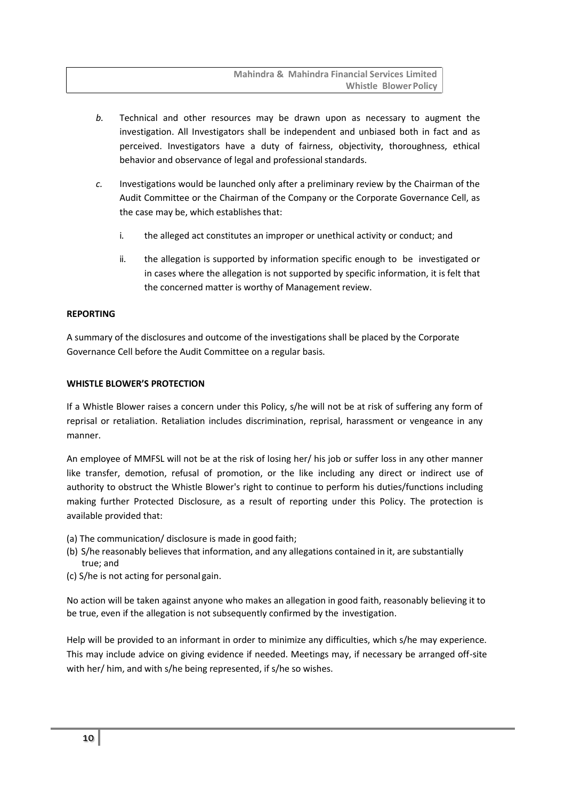- *b.* Technical and other resources may be drawn upon as necessary to augment the investigation. All Investigators shall be independent and unbiased both in fact and as perceived. Investigators have a duty of fairness, objectivity, thoroughness, ethical behavior and observance of legal and professional standards.
- *c.* Investigations would be launched only after a preliminary review by the Chairman of the Audit Committee or the Chairman of the Company or the Corporate Governance Cell, as the case may be, which establishes that:
	- i. the alleged act constitutes an improper or unethical activity or conduct; and
	- ii. the allegation is supported by information specific enough to be investigated or in cases where the allegation is not supported by specific information, it is felt that the concerned matter is worthy of Management review.

#### <span id="page-9-0"></span>**REPORTING**

A summary of the disclosures and outcome of the investigations shall be placed by the Corporate Governance Cell before the Audit Committee on a regular basis.

#### <span id="page-9-1"></span>**WHISTLE BLOWER'S PROTECTION**

If a Whistle Blower raises a concern under this Policy, s/he will not be at risk of suffering any form of reprisal or retaliation. Retaliation includes discrimination, reprisal, harassment or vengeance in any manner.

An employee of MMFSL will not be at the risk of losing her/ his job or suffer loss in any other manner like transfer, demotion, refusal of promotion, or the like including any direct or indirect use of authority to obstruct the Whistle Blower's right to continue to perform his duties/functions including making further Protected Disclosure, as a result of reporting under this Policy. The protection is available provided that:

- (a) The communication/ disclosure is made in good faith;
- (b) S/he reasonably believes that information, and any allegations contained in it, are substantially true; and
- (c) S/he is not acting for personal gain.

No action will be taken against anyone who makes an allegation in good faith, reasonably believing it to be true, even if the allegation is not subsequently confirmed by the investigation.

Help will be provided to an informant in order to minimize any difficulties, which s/he may experience. This may include advice on giving evidence if needed. Meetings may, if necessary be arranged off-site with her/ him, and with s/he being represented, if s/he so wishes.